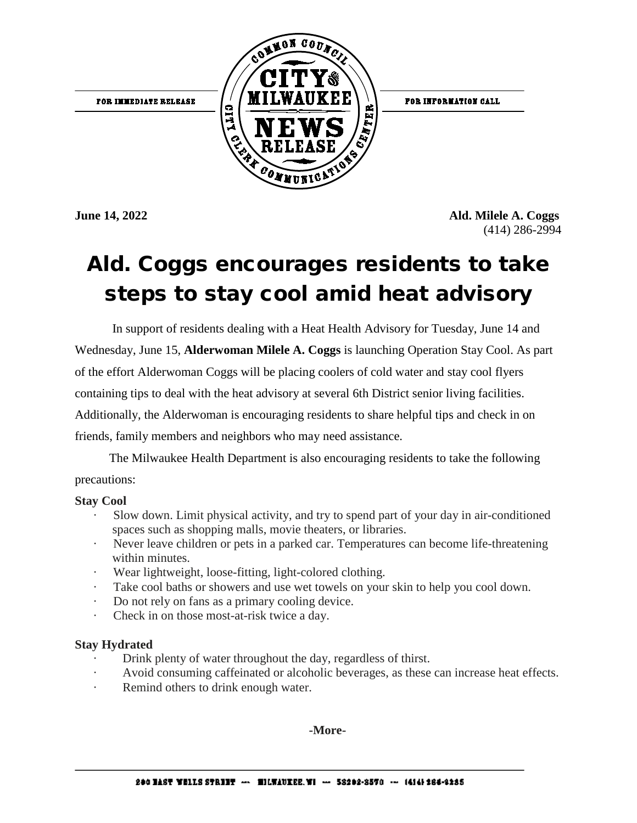FOR IMMEDIATE RELEASE



FOR INFORMATION CALL

**June 14, 2022 Ald. Milele A. Coggs**  (414) 286-2994

## Ald. Coggs encourages residents to take steps to stay cool amid heat advisory

In support of residents dealing with a Heat Health Advisory for Tuesday, June 14 and Wednesday, June 15, **Alderwoman Milele A. Coggs** is launching Operation Stay Cool. As part of the effort Alderwoman Coggs will be placing coolers of cold water and stay cool flyers containing tips to deal with the heat advisory at several 6th District senior living facilities. Additionally, the Alderwoman is encouraging residents to share helpful tips and check in on friends, family members and neighbors who may need assistance.

The Milwaukee Health Department is also encouraging residents to take the following precautions:

## **Stay Cool**

- · Slow down. Limit physical activity, and try to spend part of your day in air-conditioned spaces such as shopping malls, movie theaters, or libraries.
- Never leave children or pets in a parked car. Temperatures can become life-threatening within minutes.
- Wear lightweight, loose-fitting, light-colored clothing.
- Take cool baths or showers and use wet towels on your skin to help you cool down.
- Do not rely on fans as a primary cooling device.
- · Check in on those most-at-risk twice a day.

## **Stay Hydrated**

- Drink plenty of water throughout the day, regardless of thirst.
- · Avoid consuming caffeinated or alcoholic beverages, as these can increase heat effects.
- Remind others to drink enough water.

**-More-**